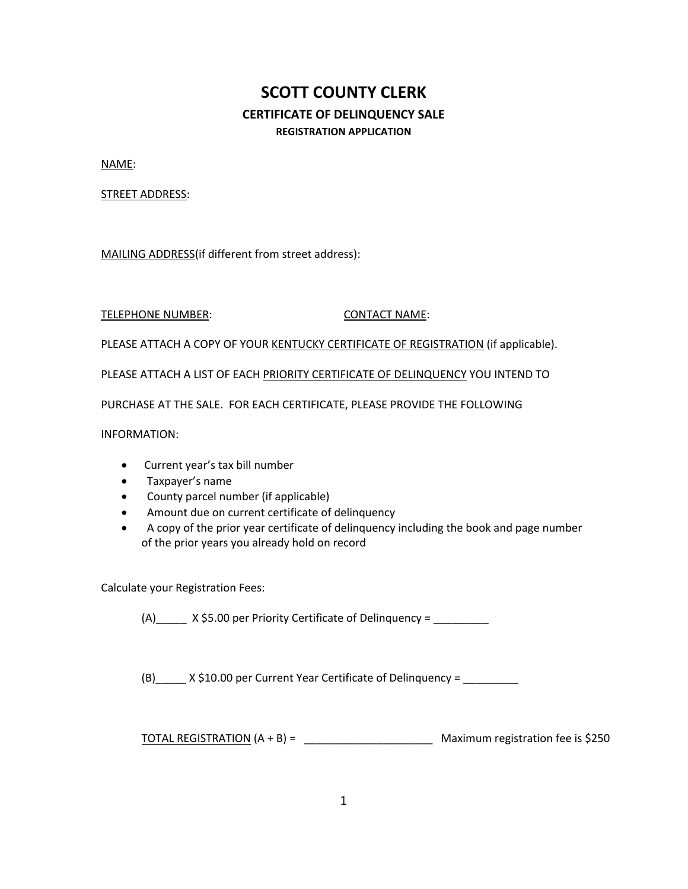# **SCOTT COUNTY CLERK CERTIFICATE OF DELINQUENCY SALE REGISTRATION APPLICATION**

NAME:

STREET ADDRESS:

MAILING ADDRESS(if different from street address):

### TELEPHONE NUMBER: CONTACT NAME:

PLEASE ATTACH A COPY OF YOUR KENTUCKY CERTIFICATE OF REGISTRATION (if applicable).

PLEASE ATTACH A LIST OF EACH PRIORITY CERTIFICATE OF DELINQUENCY YOU INTEND TO

PURCHASE AT THE SALE. FOR EACH CERTIFICATE, PLEASE PROVIDE THE FOLLOWING

INFORMATION:

- Current year's tax bill number
- Taxpayer's name
- County parcel number (if applicable)
- Amount due on current certificate of delinquency
- A copy of the prior year certificate of delinquency including the book and page number of the prior years you already hold on record

Calculate your Registration Fees:

(A)  $X \text{ } $5.00 \text{ per Priority Centificance of Delinquency } =$ 

(B)\_\_\_\_\_ X \$10.00 per Current Year Certificate of Delinquency = \_\_\_\_\_\_\_\_\_

TOTAL REGISTRATION (A + B) = \_\_\_\_\_\_\_\_\_\_\_\_\_\_\_\_\_\_\_\_\_ Maximum registration fee is \$250